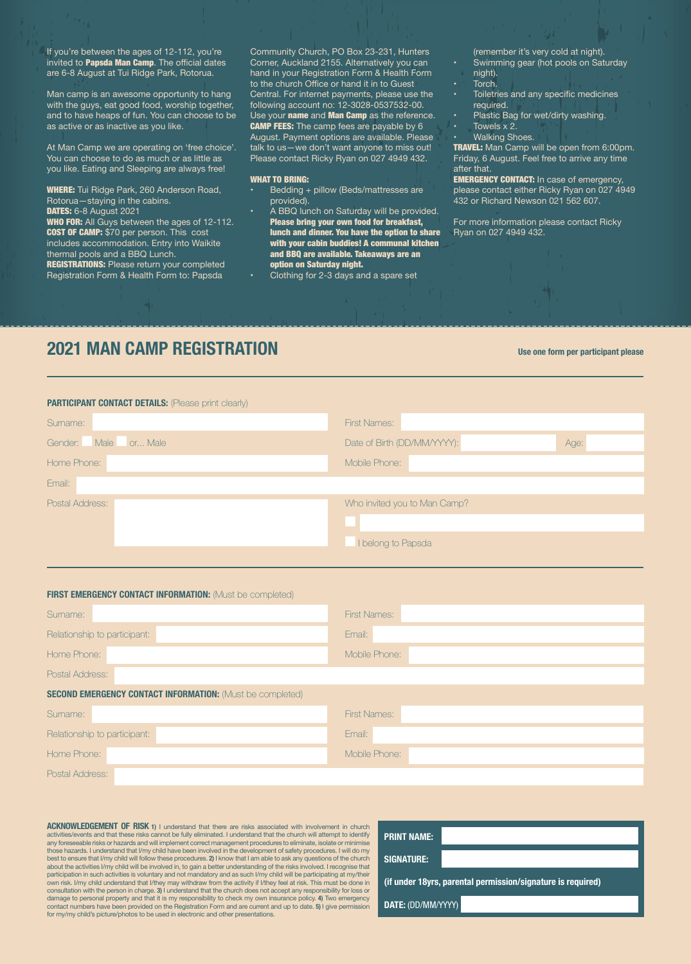If you're between the ages of 12-112, you're invited to **Papsda Man Camp**. The official dates are 6-8 August at Tui Ridge Park, Rotorua.

Man camp is an awesome opportunity to hang with the guys, eat good food, worship together, and to have heaps of fun. You can choose to be as active or as inactive as you like.

At Man Camp we are operating on 'free choice'. You can choose to do as much or as little as you like. Eating and Sleeping are always free!

WHERE: Tui Ridge Park, 260 Anderson Road, Rotorua—staying in the cabins. **DATES:** 6-8 August 2021

**WHO FOR:** All Guys between the ages of 12-112. **COST OF CAMP:** \$70 per person. This cost includes accommodation. Entry into Waikite

thermal pools and a BBQ Lunch. **REGISTRATIONS: Please return your completed** Registration Form & Health Form to: Papsda

Community Church, PO Box 23-231, Hunters Corner, Auckland 2155. Alternatively you can hand in your Registration Form & Health Form to the church Office or hand it in to Guest Central. For internet payments, please use the following account no: 12-3028-0537532-00. Use your name and Man Camp as the reference. **CAMP FEES:** The camp fees are payable by 6 August. Payment options are available. Please talk to us—we don't want anyone to miss out! Please contact Ricky Ryan on 027 4949 432.

## WHAT TO BRING:

- Bedding + pillow (Beds/mattresses are provided).
- A BBQ lunch on Saturday will be provided. Please bring your own food for breakfast, lunch and dinner. You have the option to share with your cabin buddies! A communal kitchen and BBQ are available. Takeaways are an option on Saturday night.
- Clothing for 2-3 days and a spare set

(remember it's very cold at night). • Swimming gear (hot pools on Saturday night).

- Torch.
- Toiletries and any specific medicines required.
- Plastic Bag for wet/dirty washing.
- Towels x 2.

Walking Shoes. TRAVEL: Man Camp will be open from 6:00pm. Friday, 6 August. Feel free to arrive any time

after that. **EMERGENCY CONTACT:** In case of emergency, please contact either Ricky Ryan on 027 4949 432 or Richard Newson 021 562 607.

For more information please contact Ricky Ryan on 027 4949 432.

## **2021 MAN CAMP REGISTRATION**

**Use one form per participant please**

| <b>PARTICIPANT CONTACT DETAILS:</b> (Please print clearly) |                                     |  |  |  |
|------------------------------------------------------------|-------------------------------------|--|--|--|
| Surname:                                                   | <b>First Names:</b>                 |  |  |  |
| Male<br>or Male<br>Gender:                                 | Date of Birth (DD/MM/YYYY):<br>Age: |  |  |  |
| Home Phone:                                                | Mobile Phone:                       |  |  |  |
| Email:                                                     |                                     |  |  |  |
| Postal Address:                                            | Who invited you to Man Camp?        |  |  |  |
|                                                            |                                     |  |  |  |
|                                                            | I belong to Papsda                  |  |  |  |

| <b>FIRST EMERGENCY CONTACT INFORMATION: (Must be completed)</b>  |                     |
|------------------------------------------------------------------|---------------------|
| Sumame:                                                          | <b>First Names:</b> |
| Relationship to participant:                                     | Email:              |
| Home Phone:                                                      | Mobile Phone:       |
| Postal Address:                                                  |                     |
| <b>SECOND EMERGENCY CONTACT INFORMATION: (Must be completed)</b> |                     |
| Sumame:                                                          | <b>First Names:</b> |
| Relationship to participant:                                     | Email:              |
| Home Phone:                                                      | Mobile Phone:       |
| Postal Address:                                                  |                     |

**ACKNOWLEDGEMENT OF RISK 1) I understand that there are risks associated with involvement in church** activities/events and that these risks cannot be fully eliminated. I understand that the church will attempt to identify<br>any foreseeable risks or hazards and will implement correct management procedures to eliminate, isola those hazards. I understand that I/my child have been involved in the development of safety procedures. I will do my<br>best to ensure that I/my child will follow these procedures. **2)** I know that I am able to ask any questi about the activities l/my child will be involved in, to gain a better understanding of the risks involved. I recognise that<br>participation in such activities is voluntary and not mandatory and as such l/my child will be par own risk. I/my child understand that I/they may withdraw from the activity if I/they feel at risk. This must be done in<br>consultation with the person in charge. 3) I understand that the church does not accept any responsibi damage to personal property and that it is my responsibility to check my own insurance policy. 4) Two emergency<br>contact numbers have been provided on the Registration Form and are current and up to date. 5) I give permissi for my/my child's picture/photos to be used in electronic and other presentations.

| <b>PRINT NAME:</b>                                          |  |  |  |  |
|-------------------------------------------------------------|--|--|--|--|
| <b>SIGNATURE:</b>                                           |  |  |  |  |
| (if under 18yrs, parental permission/signature is required) |  |  |  |  |
| DATE: (DD/MM/YYYY)                                          |  |  |  |  |